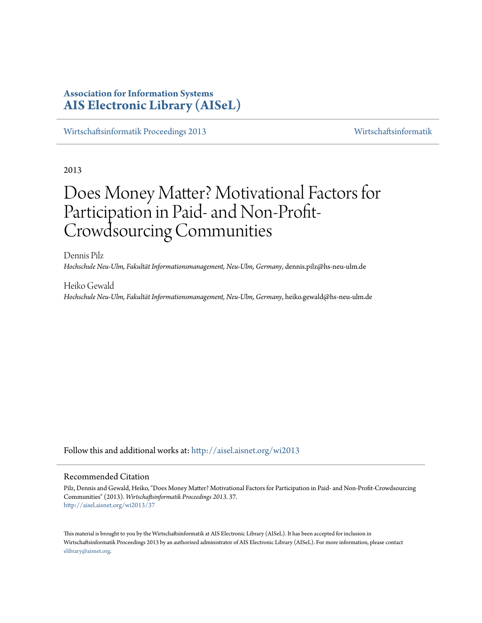## **Association for Information Systems [AIS Electronic Library \(AISeL\)](http://aisel.aisnet.org?utm_source=aisel.aisnet.org%2Fwi2013%2F37&utm_medium=PDF&utm_campaign=PDFCoverPages)**

[Wirtschaftsinformatik Proceedings 2013](http://aisel.aisnet.org/wi2013?utm_source=aisel.aisnet.org%2Fwi2013%2F37&utm_medium=PDF&utm_campaign=PDFCoverPages) [Wirtschaftsinformatik](http://aisel.aisnet.org/wi?utm_source=aisel.aisnet.org%2Fwi2013%2F37&utm_medium=PDF&utm_campaign=PDFCoverPages)

2013

# Does Money Matter? Motivational Factors for Participation in Paid- and Non-Profit-Crowdsourcing Communities

Dennis Pilz *Hochschule Neu-Ulm, Fakultät Informationsmanagement, Neu-Ulm, Germany*, dennis.pilz@hs-neu-ulm.de

Heiko Gewald *Hochschule Neu-Ulm, Fakultät Informationsmanagement, Neu-Ulm, Germany*, heiko.gewald@hs-neu-ulm.de

Follow this and additional works at: [http://aisel.aisnet.org/wi2013](http://aisel.aisnet.org/wi2013?utm_source=aisel.aisnet.org%2Fwi2013%2F37&utm_medium=PDF&utm_campaign=PDFCoverPages)

## Recommended Citation

Pilz, Dennis and Gewald, Heiko, "Does Money Matter? Motivational Factors for Participation in Paid- and Non-Profit-Crowdsourcing Communities" (2013). *Wirtschaftsinformatik Proceedings 2013*. 37. [http://aisel.aisnet.org/wi2013/37](http://aisel.aisnet.org/wi2013/37?utm_source=aisel.aisnet.org%2Fwi2013%2F37&utm_medium=PDF&utm_campaign=PDFCoverPages)

This material is brought to you by the Wirtschaftsinformatik at AIS Electronic Library (AISeL). It has been accepted for inclusion in Wirtschaftsinformatik Proceedings 2013 by an authorized administrator of AIS Electronic Library (AISeL). For more information, please contact [elibrary@aisnet.org.](mailto:elibrary@aisnet.org%3E)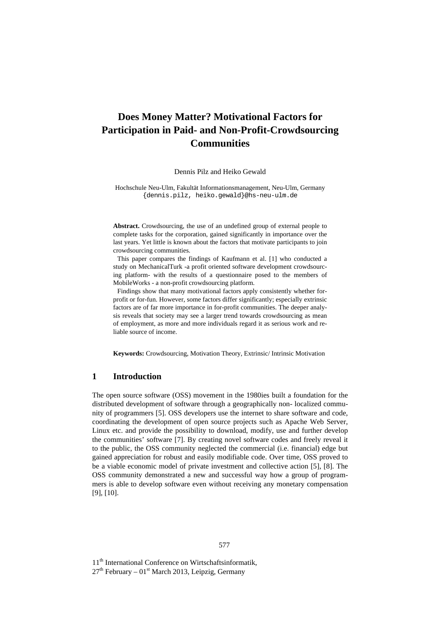# **Does Money Matter? Motivational Factors for Participation in Paid- and Non-Profit-Crowdsourcing Communities**

Dennis Pilz and Heiko Gewald

Hochschule Neu-Ulm, Fakultät Informationsmanagement, Neu-Ulm, Germany {dennis.pilz, heiko.gewald}@hs-neu-ulm.de

**Abstract.** Crowdsourcing, the use of an undefined group of external people to complete tasks for the corporation, gained significantly in importance over the last years. Yet little is known about the factors that motivate participants to join crowdsourcing communities.

This paper compares the findings of Kaufmann et al. [1] who conducted a study on MechanicalTurk -a profit oriented software development crowdsourcing platform- with the results of a questionnaire posed to the members of MobileWorks - a non-profit crowdsourcing platform.

Findings show that many motivational factors apply consistently whether forprofit or for-fun. However, some factors differ significantly; especially extrinsic factors are of far more importance in for-profit communities. The deeper analysis reveals that society may see a larger trend towards crowdsourcing as mean of employment, as more and more individuals regard it as serious work and reliable source of income.

**Keywords:** Crowdsourcing, Motivation Theory, Extrinsic/ Intrinsic Motivation

## **1 Introduction**

The open source software (OSS) movement in the 1980ies built a foundation for the distributed development of software through a geographically non- localized community of programmers [5]. OSS developers use the internet to share software and code, coordinating the development of open source projects such as Apache Web Server, Linux etc. and provide the possibility to download, modify, use and further develop the communities' software [7]. By creating novel software codes and freely reveal it to the public, the OSS community neglected the commercial (i.e. financial) edge but gained appreciation for robust and easily modifiable code. Over time, OSS proved to be a viable economic model of private investment and collective action [5], [8]. The OSS community demonstrated a new and successful way how a group of programmers is able to develop software even without receiving any monetary compensation [9], [10].

11<sup>th</sup> International Conference on Wirtschaftsinformatik,

 $27<sup>th</sup>$  February – 01<sup>st</sup> March 2013, Leipzig, Germany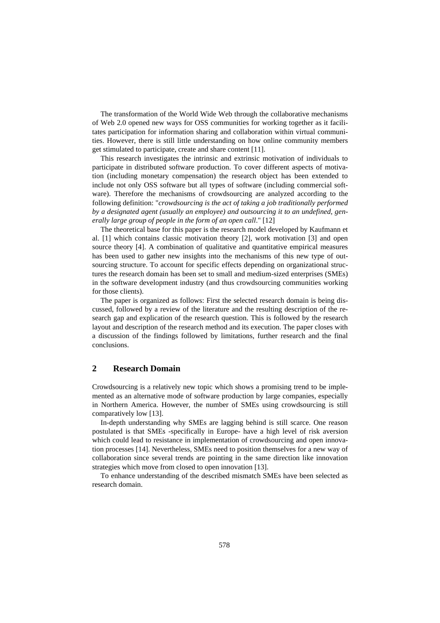The transformation of the World Wide Web through the collaborative mechanisms of Web 2.0 opened new ways for OSS communities for working together as it facilitates participation for information sharing and collaboration within virtual communities. However, there is still little understanding on how online community members get stimulated to participate, create and share content [11].

This research investigates the intrinsic and extrinsic motivation of individuals to participate in distributed software production. To cover different aspects of motivation (including monetary compensation) the research object has been extended to include not only OSS software but all types of software (including commercial software). Therefore the mechanisms of crowdsourcing are analyzed according to the following definition: "*crowdsourcing is the act of taking a job traditionally performed by a designated agent (usually an employee) and outsourcing it to an undefined, generally large group of people in the form of an open call*." [12]

The theoretical base for this paper is the research model developed by Kaufmann et al. [1] which contains classic motivation theory [2], work motivation [3] and open source theory [4]. A combination of qualitative and quantitative empirical measures has been used to gather new insights into the mechanisms of this new type of outsourcing structure. To account for specific effects depending on organizational structures the research domain has been set to small and medium-sized enterprises (SMEs) in the software development industry (and thus crowdsourcing communities working for those clients).

The paper is organized as follows: First the selected research domain is being discussed, followed by a review of the literature and the resulting description of the research gap and explication of the research question. This is followed by the research layout and description of the research method and its execution. The paper closes with a discussion of the findings followed by limitations, further research and the final conclusions.

## **2 Research Domain**

Crowdsourcing is a relatively new topic which shows a promising trend to be implemented as an alternative mode of software production by large companies, especially in Northern America. However, the number of SMEs using crowdsourcing is still comparatively low [13].

In-depth understanding why SMEs are lagging behind is still scarce. One reason postulated is that SMEs -specifically in Europe- have a high level of risk aversion which could lead to resistance in implementation of crowdsourcing and open innovation processes [14]. Nevertheless, SMEs need to position themselves for a new way of collaboration since several trends are pointing in the same direction like innovation strategies which move from closed to open innovation [13].

To enhance understanding of the described mismatch SMEs have been selected as research domain.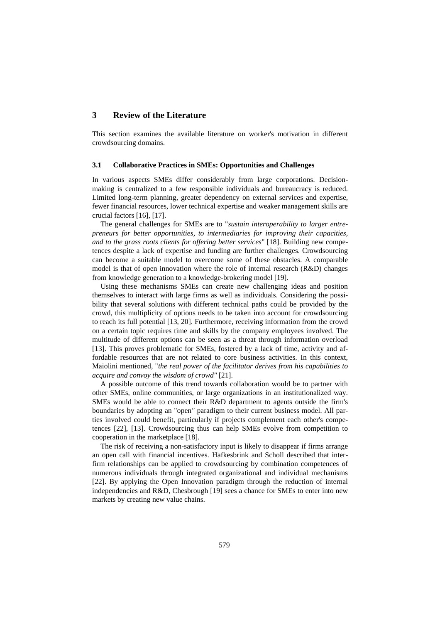## **3 Review of the Literature**

This section examines the available literature on worker's motivation in different crowdsourcing domains.

#### **3.1 Collaborative Practices in SMEs: Opportunities and Challenges**

In various aspects SMEs differ considerably from large corporations. Decisionmaking is centralized to a few responsible individuals and bureaucracy is reduced. Limited long-term planning, greater dependency on external services and expertise, fewer financial resources, lower technical expertise and weaker management skills are crucial factors [16], [17].

The general challenges for SMEs are to "*sustain interoperability to larger entrepreneurs for better opportunities, to intermediaries for improving their capacities, and to the grass roots clients for offering better services*" [18]. Building new competences despite a lack of expertise and funding are further challenges. Crowdsourcing can become a suitable model to overcome some of these obstacles. A comparable model is that of open innovation where the role of internal research (R&D) changes from knowledge generation to a knowledge-brokering model [19].

Using these mechanisms SMEs can create new challenging ideas and position themselves to interact with large firms as well as individuals. Considering the possibility that several solutions with different technical paths could be provided by the crowd, this multiplicity of options needs to be taken into account for crowdsourcing to reach its full potential [13, 20]. Furthermore, receiving information from the crowd on a certain topic requires time and skills by the company employees involved. The multitude of different options can be seen as a threat through information overload [13]. This proves problematic for SMEs, fostered by a lack of time, activity and affordable resources that are not related to core business activities. In this context, Maiolini mentioned, "*the real power of the facilitator derives from his capabilities to acquire and convoy the wisdom of crowd"* [21].

A possible outcome of this trend towards collaboration would be to partner with other SMEs, online communities, or large organizations in an institutionalized way. SMEs would be able to connect their R&D department to agents outside the firm's boundaries by adopting an "open*"* paradigm to their current business model. All parties involved could benefit, particularly if projects complement each other's competences [22], [13]. Crowdsourcing thus can help SMEs evolve from competition to cooperation in the marketplace [18].

The risk of receiving a non-satisfactory input is likely to disappear if firms arrange an open call with financial incentives. Hafkesbrink and Scholl described that interfirm relationships can be applied to crowdsourcing by combination competences of numerous individuals through integrated organizational and individual mechanisms [22]. By applying the Open Innovation paradigm through the reduction of internal independencies and R&D, Chesbrough [19] sees a chance for SMEs to enter into new markets by creating new value chains.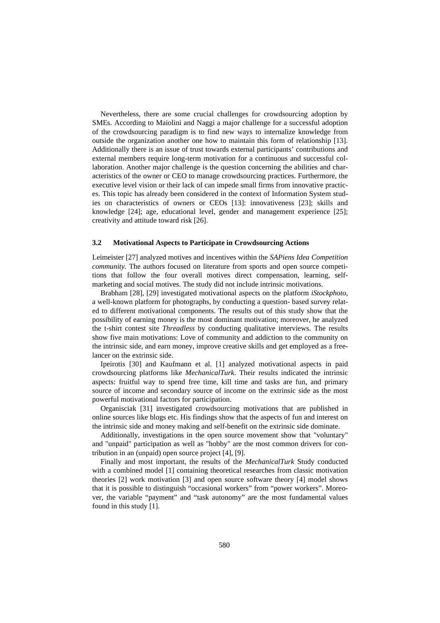Nevertheless, there are some crucial challenges for crowdsourcing adoption by SMEs. According to Maiolini and Naggi a major challenge for a successful adoption of the crowdsourcing paradigm is to find new ways to internalize knowledge from outside the organization another one how to maintain this form of relationship [13]. Additionally there is an issue of trust towards external participants' contributions and external members require long-term motivation for a continuous and successful collaboration. Another major challenge is the question concerning the abilities and characteristics of the owner or CEO to manage crowdsourcing practices. Furthermore, the executive level vision or their lack of can impede small firms from innovative practices. This topic has already been considered in the context of Information System studies on characteristics of owners or CEOs [13]: innovativeness [23]; skills and knowledge [24]; age, educational level, gender and management experience [25]; creativity and attitude toward risk [26].

#### **3.2 Motivational Aspects to Participate in Crowdsourcing Actions**

Leimeister [27] analyzed motives and incentives within the *SAPiens Idea Competition community*. The authors focused on literature from sports and open source competitions that follow the four overall motives direct compensation, learning, selfmarketing and social motives. The study did not include intrinsic motivations.

Brabham [28], [29] investigated motivational aspects on the platform *iStockphoto*, a well-known platform for photographs, by conducting a question- based survey related to different motivational components. The results out of this study show that the possibility of earning money is the most dominant motivation; moreover, he analyzed the t-shirt contest site *Threadless* by conducting qualitative interviews. The results show five main motivations: Love of community and addiction to the community on the intrinsic side, and earn money, improve creative skills and get employed as a freelancer on the extrinsic side.

Ipeirotis [30] and Kaufmann et al. [1] analyzed motivational aspects in paid crowdsourcing platforms like *MechanicalTurk*. Their results indicated the intrinsic aspects: fruitful way to spend free time, kill time and tasks are fun, and primary source of income and secondary source of income on the extrinsic side as the most powerful motivational factors for participation.

Organisciak [31] investigated crowdsourcing motivations that are published in online sources like blogs etc. His findings show that the aspects of fun and interest on the intrinsic side and money making and self-benefit on the extrinsic side dominate.

Additionally, investigations in the open source movement show that "voluntary" and "unpaid" participation as well as "hobby" are the most common drivers for contribution in an (unpaid) open source project [4], [9].

Finally and most important, the results of the *MechanicalTurk* Study conducted with a combined model [1] containing theoretical researches from classic motivation theories [2] work motivation [3] and open source software theory [4] model shows that it is possible to distinguish "occasional workers" from "power workers". Moreover, the variable "payment" and "task autonomy" are the most fundamental values found in this study [1].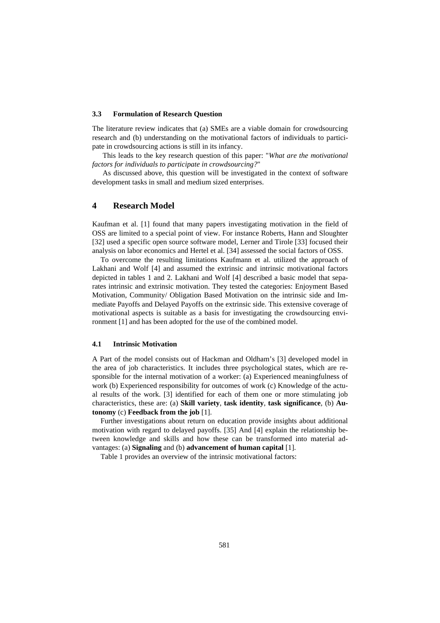#### **3.3 Formulation of Research Question**

The literature review indicates that (a) SMEs are a viable domain for crowdsourcing research and (b) understanding on the motivational factors of individuals to participate in crowdsourcing actions is still in its infancy.

This leads to the key research question of this paper: "*What are the motivational factors for individuals to participate in crowdsourcing?*"

As discussed above, this question will be investigated in the context of software development tasks in small and medium sized enterprises.

## **4 Research Model**

Kaufman et al. [1] found that many papers investigating motivation in the field of OSS are limited to a special point of view. For instance Roberts, Hann and Sloughter [32] used a specific open source software model, Lerner and Tirole [33] focused their analysis on labor economics and Hertel et al. [34] assessed the social factors of OSS.

To overcome the resulting limitations Kaufmann et al. utilized the approach of Lakhani and Wolf [4] and assumed the extrinsic and intrinsic motivational factors depicted in tables 1 and 2. Lakhani and Wolf [4] described a basic model that separates intrinsic and extrinsic motivation. They tested the categories: Enjoyment Based Motivation, Community/ Obligation Based Motivation on the intrinsic side and Immediate Payoffs and Delayed Payoffs on the extrinsic side. This extensive coverage of motivational aspects is suitable as a basis for investigating the crowdsourcing environment [1] and has been adopted for the use of the combined model.

#### **4.1 Intrinsic Motivation**

A Part of the model consists out of Hackman and Oldham's [3] developed model in the area of job characteristics. It includes three psychological states, which are responsible for the internal motivation of a worker: (a) Experienced meaningfulness of work (b) Experienced responsibility for outcomes of work (c) Knowledge of the actual results of the work. [3] identified for each of them one or more stimulating job characteristics, these are: (a) **Skill variety**, **task identity**, **task significance**, (b) **Autonomy** (c) **Feedback from the job** [1].

Further investigations about return on education provide insights about additional motivation with regard to delayed payoffs. [35] And [4] explain the relationship between knowledge and skills and how these can be transformed into material advantages: (a) **Signaling** and (b) **advancement of human capital** [1].

Table 1 provides an overview of the intrinsic motivational factors: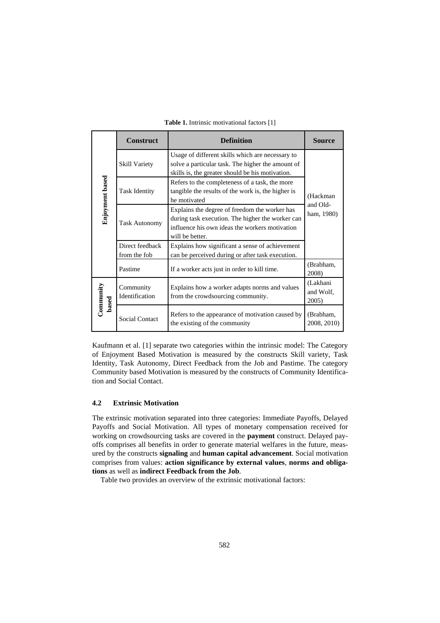|                  | <b>Construct</b>                | <b>Definition</b>                                                                                   |                                |  |  |
|------------------|---------------------------------|-----------------------------------------------------------------------------------------------------|--------------------------------|--|--|
| Enjoyment based  | <b>Skill Variety</b>            |                                                                                                     |                                |  |  |
|                  | <b>Task Identity</b>            | (Hackman<br>and Old-<br>ham, 1980)                                                                  |                                |  |  |
|                  | <b>Task Autonomy</b>            |                                                                                                     |                                |  |  |
|                  | Direct feedback<br>from the fob | Explains how significant a sense of achievement<br>can be perceived during or after task execution. |                                |  |  |
|                  | Pastime                         | If a worker acts just in order to kill time.                                                        |                                |  |  |
| Commuty<br>based | Community<br>Identification     | Explains how a worker adapts norms and values<br>from the crowdsourcing community.                  | (Lakhani<br>and Wolf,<br>2005) |  |  |
|                  | Social Contact                  | Refers to the appearance of motivation caused by<br>the existing of the community                   | (Brabham,<br>2008, 2010)       |  |  |

**Table 1.** Intrinsic motivational factors [1]

Kaufmann et al. [1] separate two categories within the intrinsic model: The Category of Enjoyment Based Motivation is measured by the constructs Skill variety, Task Identity, Task Autonomy, Direct Feedback from the Job and Pastime. The category Community based Motivation is measured by the constructs of Community Identification and Social Contact.

## **4.2 Extrinsic Motivation**

The extrinsic motivation separated into three categories: Immediate Payoffs, Delayed Payoffs and Social Motivation. All types of monetary compensation received for working on crowdsourcing tasks are covered in the **payment** construct. Delayed payoffs comprises all benefits in order to generate material welfares in the future, measured by the constructs **signaling** and **human capital advancement**. Social motivation comprises from values: **action significance by external values**, **norms and obligations** as well as **indirect Feedback from the Job**.

Table two provides an overview of the extrinsic motivational factors: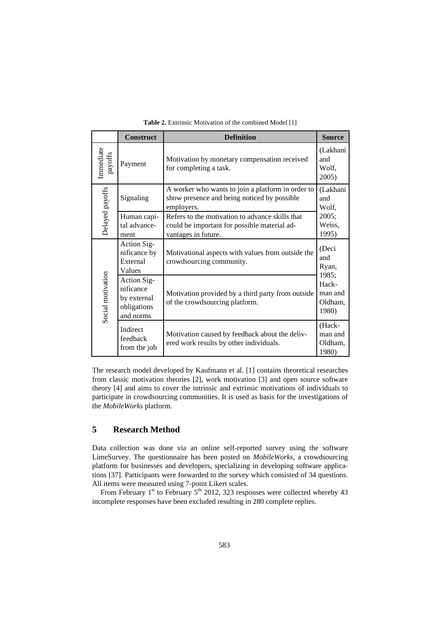|                      | <b>Construct</b>                                                    | <b>Definition</b>                                                                                                      |                                       |
|----------------------|---------------------------------------------------------------------|------------------------------------------------------------------------------------------------------------------------|---------------------------------------|
| Immediate<br>payoffs | Payment                                                             | Motivation by monetary compensation received<br>for completing a task.                                                 | (Lakhani<br>and<br>Wolf,<br>2005)     |
|                      | Signaling                                                           | A worker who wants to join a platform in order to<br>show presence and being noticed by possible<br>employers.         | (Lakhani<br>and<br>Wolf,              |
| Delayed payoffs      | Human capi-<br>tal advance-<br>ment                                 | Refers to the motivation to advance skills that<br>could be important for possible material ad-<br>vantages in future. | 2005;<br>Weiss,<br>1995)              |
| Social motivation    | Action Sig-<br>nificance by<br>External<br>Values                   | Motivational aspects with values from outside the<br>crowdsourcing community.                                          | (Deci<br>and<br>Ryan,<br>1985;        |
|                      | Action Sig-<br>nificance<br>by external<br>obligations<br>and norms | Motivation provided by a third party from outside<br>of the crowdsourcing platform.                                    |                                       |
|                      | Indirect<br>feedback<br>from the job                                | Motivation caused by feedback about the deliv-<br>ered work results by other individuals.                              | (Hack-<br>man and<br>Oldham,<br>1980) |

**Table 2.** Extrinsic Motivation of the combined Model [1]

The research model developed by Kaufmann et al. [1] contains theoretical researches from classic motivation theories [2], work motivation [3] and open source software theory [4] and aims to cover the intrinsic and extrinsic motivations of individuals to participate in crowdsourcing communities. It is used as basis for the investigations of the *MobileWorks* platform.

## **5 Research Method**

Data collection was done via an online self-reported survey using the software LimeSurvey. The questionnaire has been posted on *MobileWorks,* a crowdsourcing platform for businesses and developers, specializing in developing software applications [37]. Participants were forwarded to the survey which consisted of 34 questions. All items were measured using 7-point Likert scales.

From February  $1<sup>st</sup>$  to February  $5<sup>th</sup>$  2012, 323 responses were collected whereby 43 incomplete responses have been excluded resulting in 280 complete replies.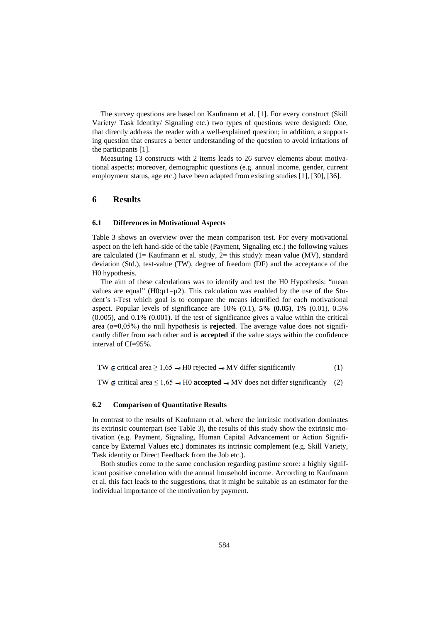The survey questions are based on Kaufmann et al. [1]. For every construct (Skill Variety/ Task Identity/ Signaling etc.) two types of questions were designed: One, that directly address the reader with a well-explained question; in addition, a supporting question that ensures a better understanding of the question to avoid irritations of the participants [1].

Measuring 13 constructs with 2 items leads to 26 survey elements about motivational aspects; moreover, demographic questions (e.g. annual income, gender, current employment status, age etc.) have been adapted from existing studies [1], [30], [36].

## **6 Results**

### **6.1 Differences in Motivational Aspects**

Table 3 shows an overview over the mean comparison test. For every motivational aspect on the left hand-side of the table (Payment, Signaling etc.) the following values are calculated (1= Kaufmann et al. study, 2= this study): mean value (MV), standard deviation (Std.), test-value (TW), degree of freedom (DF) and the acceptance of the H0 hypothesis.

The aim of these calculations was to identify and test the H0 Hypothesis: "mean values are equal" (H0: $\mu$ 1= $\mu$ 2). This calculation was enabled by the use of the Student's t-Test which goal is to compare the means identified for each motivational aspect. Popular levels of significance are 10% (0.1), **5% (0.05)**, 1% (0.01), 0.5% (0.005), and 0.1% (0.001). If the test of significance gives a value within the critical area  $(\alpha=0.05\%)$  the null hypothesis is **rejected**. The average value does not significantly differ from each other and is **accepted** if the value stays within the confidence interval of CI=95%.

$$
TW \in critical area \ge 1,65 \rightarrow H0 rejected \rightarrow MV differ significantly
$$
 (1)

TW  $\neq$  critical area ≤ 1,65  $\rightarrow$  H0 **accepted**  $\rightarrow$  MV does not differ significantly (2)

#### **6.2 Comparison of Quantitative Results**

In contrast to the results of Kaufmann et al. where the intrinsic motivation dominates its extrinsic counterpart (see Table 3), the results of this study show the extrinsic motivation (e.g. Payment, Signaling, Human Capital Advancement or Action Significance by External Values etc.) dominates its intrinsic complement (e.g. Skill Variety, Task identity or Direct Feedback from the Job etc.).

Both studies come to the same conclusion regarding pastime score: a highly significant positive correlation with the annual household income. According to Kaufmann et al. this fact leads to the suggestions, that it might be suitable as an estimator for the individual importance of the motivation by payment.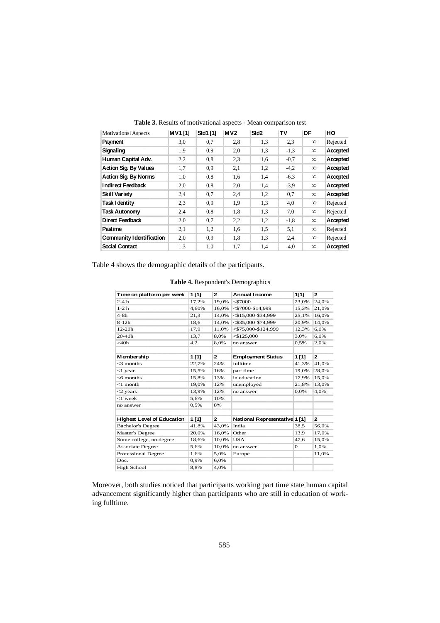| <b>Motivationsl Aspects</b>      | <b>MV1[1]</b> | Std1 [1] | MV <sub>2</sub> | Std <sub>2</sub> | TV     | DF       | HO       |
|----------------------------------|---------------|----------|-----------------|------------------|--------|----------|----------|
| Payment                          | 3,0           | 0,7      | 2,8             | 1,3              | 2.3    | $\infty$ | Rejected |
| Signaling                        | 1,9           | 0,9      | 2,0             | 1,3              | $-1,3$ | $\infty$ | Accepted |
| Human Capital Adv.               | 2,2           | 0,8      | 2.3             | 1,6              | $-0.7$ | $\infty$ | Accepted |
| <b>Action Sig. By Values</b>     | 1,7           | 0.9      | 2,1             | 1,2              | $-4,2$ | $\infty$ | Accepted |
| <b>Action Sig. By Norms</b>      | 1,0           | 0,8      | 1,6             | 1,4              | $-6,3$ | $\infty$ | Accepted |
| <b>Indirect Feedback</b>         | 2,0           | 0,8      | 2,0             | 1,4              | $-3.9$ | $\infty$ | Accepted |
| <b>Skill Variety</b>             | 2,4           | 0,7      | 2.4             | 1,2              | 0.7    | $\infty$ | Accepted |
| <b>Task I dentity</b>            | 2,3           | 0.9      | 1,9             | 1,3              | 4,0    | $\infty$ | Rejected |
| <b>Task Autonomy</b>             | 2,4           | 0,8      | 1,8             | 1,3              | 7,0    | $\infty$ | Rejected |
| Direct Feedback                  | 2,0           | 0,7      | 2,2             | 1,2              | $-1,8$ | $\infty$ | Accepted |
| Pastime                          | 2,1           | 1,2      | 1,6             | 1,5              | 5,1    | $\infty$ | Rejected |
| <b>Community I dentification</b> | 2,0           | 0,9      | 1,8             | 1,3              | 2.4    | $\infty$ | Rejected |
| <b>Social Contact</b>            | 1,3           | 1,0      | 1,7             | 1,4              | $-4,0$ | $\infty$ | Accepted |

**Table 3.** Results of motivational aspects - Mean comparison test

Table 4 shows the demographic details of the participants.

|  | Table 4. Respondent's Demographics |
|--|------------------------------------|

| Time on platform per week         | $1$ [1] | 2            | <b>Annual Income</b>          | 1[1]         | 2            |
|-----------------------------------|---------|--------------|-------------------------------|--------------|--------------|
| $2-4h$                            | 17,2%   | 19,0%        | $<$ \$7000                    | 23,0%        | 24,0%        |
| $1-2h$                            | 4,60%   | 16,0%        | $<$ \$7000-\$14,999           | 15,3%        | 21,0%        |
| $4-8h$                            | 21,3    | 14,0%        | $<$ \$15,000-\$34,999         | 25,1%        | 16,0%        |
| $8-12h$                           | 18,6    | 14,0%        | $<$ \$35,000-\$74,999         | 20,9%        | 14,0%        |
| $12-20h$                          | 17,9    | 11,0%        | $<$ \$75,000-\$124,999        | 12,3%        | 6.0%         |
| 20-40h                            | 13,7    | 8,0%         | $<$ \$125,000                 | 3,0%         | 6,0%         |
| >40h                              | 4,2     | 8,0%         | no answer                     | 0.5%         | 2,0%         |
|                                   |         |              |                               |              |              |
| M ember ship                      | 1 [1]   | $\mathbf{z}$ | <b>Employment Status</b>      | 1 [1]        | $\mathbf{z}$ |
| $<$ 3 months                      | 22,7%   | 24%          | fulltime                      | 41,3%        | 41,0%        |
| $<$ 1 year                        | 15,5%   | 16%          | part time                     | 19,0%        | 28,0%        |
| $<$ 6 months                      | 15,8%   | 13%          | in education                  | 17,9%        | 15,0%        |
| $<$ 1 month                       | 19.0%   | 12%          | unemployed                    | 21,8%        | 13,0%        |
| $<$ 2 years                       | 13,9%   | 12%          | no answer                     | 0,0%         | 4,0%         |
| $<$ 1 week                        | 5,6%    | 10%          |                               |              |              |
| no answer                         | 0,5%    | 8%           |                               |              |              |
|                                   |         |              |                               |              |              |
| <b>Highest Level of Education</b> | 1[1]    | 2            | National Representative 1 [1] |              | $\mathbf{2}$ |
| <b>Bachelor's Degree</b>          | 41,8%   | 43,0%        | India                         | 38,5         | 56,0%        |
| Master's Degree                   | 20.0%   | 16,0%        | Other                         | 13,9         | 17,0%        |
| Some college, no degree           | 18,6%   | 10,0%        | <b>USA</b>                    | 47,6         | 15,0%        |
| <b>Associate Degree</b>           | 5,6%    | 10,0%        | no answer                     | $\mathbf{O}$ | 1,0%         |
| Professional Degree               | 1,6%    | 5,0%         | Europe                        |              | 11,0%        |
| Doc.                              | 0,9%    | 6,0%         |                               |              |              |
| High School                       | 8,8%    | 4,0%         |                               |              |              |

Moreover, both studies noticed that participants working part time state human capital advancement significantly higher than participants who are still in education of working fulltime.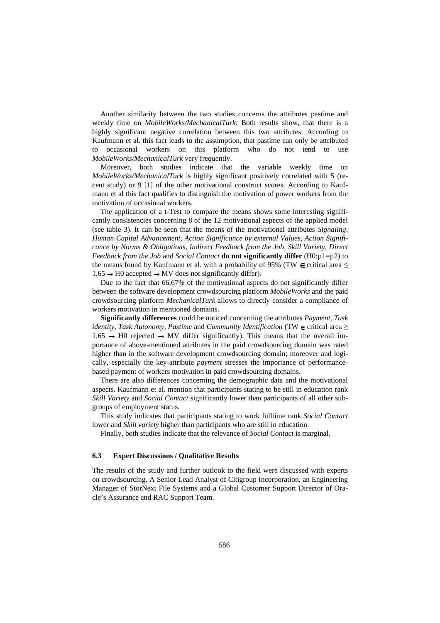Another similarity between the two studies concerns the attributes pastime and weekly time on *MobileWorks/MechanicalTurk*: Both results show, that there is a highly significant negative correlation between this two attributes. According to Kaufmann et al. this fact leads to the assumption, that pastime can only be attributed to occasional workers on this platform who do not tend to use *MobileWorks/MechanicalTurk* very frequently.

Moreover, both studies indicate that the variable weekly time on *MobileWorks/MechanicalTurk* is highly significant positively correlated with 5 (recent study) or 9 [1] of the other motivational construct scores. According to Kaufmann et al this fact qualifies to distinguish the motivation of power workers from the motivation of occasional workers.

The application of a t-Test to compare the means shows some interesting significantly consistencies concerning 8 of the 12 motivational aspects of the applied model (see table 3). It can be seen that the means of the motivational attributes *Signaling, Human Capital Advancement, Action Significance by external Values, Action Significance by Norms & Obligations, Indirect Feedback from the Job, Skill Variety, Direct Feedback from the Job* and *Social Contact* **do not significantly differ** (H0:µ1=µ2) to the means found by Kaufmann et al. with a probability of 95% (TW  $\epsilon$  critical area  $\leq$  $1,65 \rightarrow H0$  accepted  $\rightarrow MV$  does not significantly differ).

Due to the fact that 66,67% of the motivational aspects do not significantly differ between the software development crowdsourcing platform *MobileWorks* and the paid crowdsourcing platform *MechanicalTurk* allows to directly consider a compliance of workers motivation in mentioned domains.

**Significantly differences** could be noticed concerning the attributes *Payment, Task identity, Task Autonomy, Pastime and Community Identification* (TW  $\epsilon$  critical area  $\geq$  $1,65 \rightarrow$  H0 rejected  $\rightarrow$  MV differ significantly). This means that the overall importance of above-mentioned attributes in the paid crowdsourcing domain was rated higher than in the software development crowdsourcing domain; moreover and logically, especially the key-attribute *payment* stresses the importance of performancebased payment of workers motivation in paid crowdsourcing domains.

There are also differences concerning the demographic data and the motivational aspects. Kaufmann et al. mention that participants stating to be still in education rank *Skill Variety* and *Social Contact* significantly lower than participants of all other subgroups of employment status.

This study indicates that participants stating to work fulltime rank *Social Contact* lower and *Skill variety* higher than participants who are still in education.

Finally, both studies indicate that the relevance of *Social Contact* is marginal.

#### **6.3 Expert Discussions / Qualitative Results**

The results of the study and further outlook to the field were discussed with experts on crowdsourcing. A Senior Lead Analyst of Citigroup Incorporation, an Engineering Manager of StorNext File Systems and a Global Customer Support Director of Oracle's Assurance and RAC Support Team.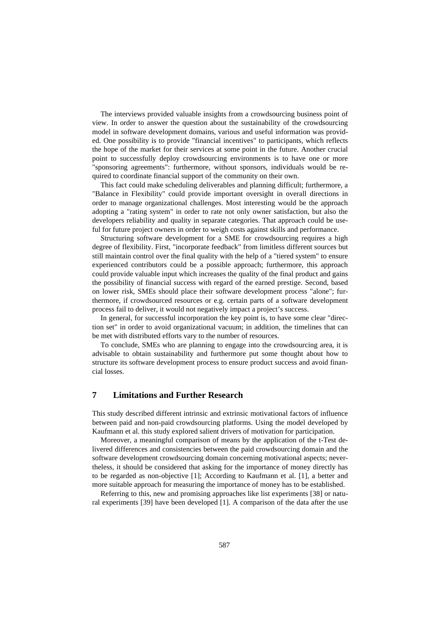The interviews provided valuable insights from a crowdsourcing business point of view. In order to answer the question about the sustainability of the crowdsourcing model in software development domains, various and useful information was provided. One possibility is to provide "financial incentives" to participants, which reflects the hope of the market for their services at some point in the future. Another crucial point to successfully deploy crowdsourcing environments is to have one or more "sponsoring agreements": furthermore, without sponsors, individuals would be required to coordinate financial support of the community on their own.

This fact could make scheduling deliverables and planning difficult; furthermore, a "Balance in Flexibility" could provide important oversight in overall directions in order to manage organizational challenges. Most interesting would be the approach adopting a "rating system" in order to rate not only owner satisfaction, but also the developers reliability and quality in separate categories. That approach could be useful for future project owners in order to weigh costs against skills and performance.

Structuring software development for a SME for crowdsourcing requires a high degree of flexibility. First, "incorporate feedback" from limitless different sources but still maintain control over the final quality with the help of a "tiered system" to ensure experienced contributors could be a possible approach; furthermore, this approach could provide valuable input which increases the quality of the final product and gains the possibility of financial success with regard of the earned prestige. Second, based on lower risk, SMEs should place their software development process "alone"; furthermore, if crowdsourced resources or e.g. certain parts of a software development process fail to deliver, it would not negatively impact a project's success.

In general, for successful incorporation the key point is, to have some clear "direction set" in order to avoid organizational vacuum; in addition, the timelines that can be met with distributed efforts vary to the number of resources.

To conclude, SMEs who are planning to engage into the crowdsourcing area, it is advisable to obtain sustainability and furthermore put some thought about how to structure its software development process to ensure product success and avoid financial losses.

## **7 Limitations and Further Research**

This study described different intrinsic and extrinsic motivational factors of influence between paid and non-paid crowdsourcing platforms. Using the model developed by Kaufmann et al. this study explored salient drivers of motivation for participation.

Moreover, a meaningful comparison of means by the application of the t-Test delivered differences and consistencies between the paid crowdsourcing domain and the software development crowdsourcing domain concerning motivational aspects; nevertheless, it should be considered that asking for the importance of money directly has to be regarded as non-objective [1]; According to Kaufmann et al. [1], a better and more suitable approach for measuring the importance of money has to be established.

Referring to this, new and promising approaches like list experiments [38] or natural experiments [39] have been developed [1]. A comparison of the data after the use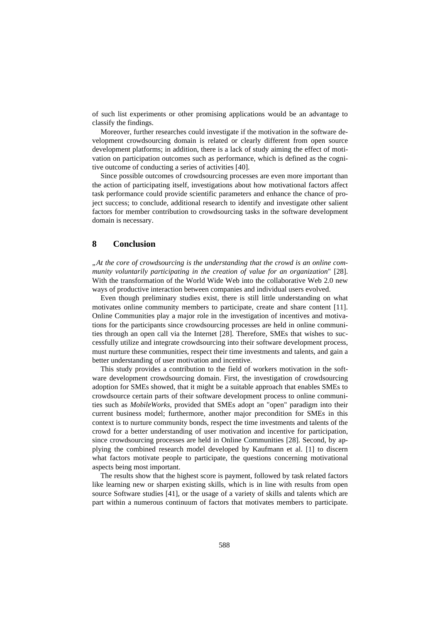of such list experiments or other promising applications would be an advantage to classify the findings.

Moreover, further researches could investigate if the motivation in the software development crowdsourcing domain is related or clearly different from open source development platforms; in addition, there is a lack of study aiming the effect of motivation on participation outcomes such as performance, which is defined as the cognitive outcome of conducting a series of activities [40].

Since possible outcomes of crowdsourcing processes are even more important than the action of participating itself, investigations about how motivational factors affect task performance could provide scientific parameters and enhance the chance of project success; to conclude, additional research to identify and investigate other salient factors for member contribution to crowdsourcing tasks in the software development domain is necessary.

## **8 Conclusion**

*"At the core of crowdsourcing is the understanding that the crowd is an online community voluntarily participating in the creation of value for an organization*" [28]. With the transformation of the World Wide Web into the collaborative Web 2.0 new ways of productive interaction between companies and individual users evolved.

Even though preliminary studies exist, there is still little understanding on what motivates online community members to participate, create and share content [11]. Online Communities play a major role in the investigation of incentives and motivations for the participants since crowdsourcing processes are held in online communities through an open call via the Internet [28]. Therefore, SMEs that wishes to successfully utilize and integrate crowdsourcing into their software development process, must nurture these communities, respect their time investments and talents, and gain a better understanding of user motivation and incentive.

This study provides a contribution to the field of workers motivation in the software development crowdsourcing domain. First, the investigation of crowdsourcing adoption for SMEs showed, that it might be a suitable approach that enables SMEs to crowdsource certain parts of their software development process to online communities such as *MobileWorks*, provided that SMEs adopt an "open" paradigm into their current business model; furthermore, another major precondition for SMEs in this context is to nurture community bonds, respect the time investments and talents of the crowd for a better understanding of user motivation and incentive for participation, since crowdsourcing processes are held in Online Communities [28]. Second, by applying the combined research model developed by Kaufmann et al. [1] to discern what factors motivate people to participate, the questions concerning motivational aspects being most important.

The results show that the highest score is payment, followed by task related factors like learning new or sharpen existing skills, which is in line with results from open source Software studies [41], or the usage of a variety of skills and talents which are part within a numerous continuum of factors that motivates members to participate.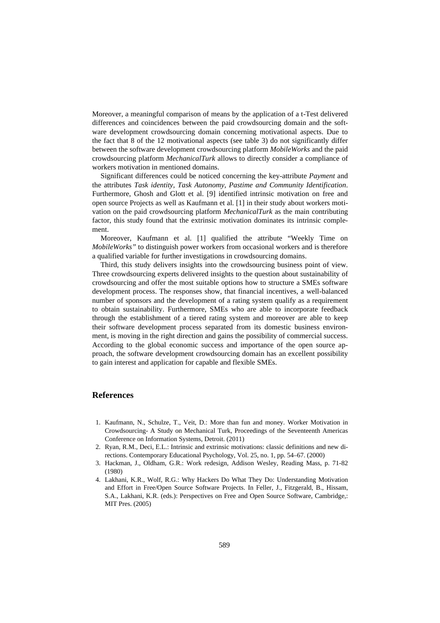Moreover, a meaningful comparison of means by the application of a t-Test delivered differences and coincidences between the paid crowdsourcing domain and the software development crowdsourcing domain concerning motivational aspects. Due to the fact that 8 of the 12 motivational aspects (see table 3) do not significantly differ between the software development crowdsourcing platform *MobileWorks* and the paid crowdsourcing platform *MechanicalTurk* allows to directly consider a compliance of workers motivation in mentioned domains.

Significant differences could be noticed concerning the key-attribute *Payment* and the attributes *Task identity, Task Autonomy, Pastime and Community Identification*. Furthermore, Ghosh and Glott et al. [9] identified intrinsic motivation on free and open source Projects as well as Kaufmann et al. [1] in their study about workers motivation on the paid crowdsourcing platform *MechanicalTurk* as the main contributing factor, this study found that the extrinsic motivation dominates its intrinsic complement.

Moreover, Kaufmann et al. [1] qualified the attribute "Weekly Time on *MobileWorks"* to distinguish power workers from occasional workers and is therefore a qualified variable for further investigations in crowdsourcing domains.

Third, this study delivers insights into the crowdsourcing business point of view. Three crowdsourcing experts delivered insights to the question about sustainability of crowdsourcing and offer the most suitable options how to structure a SMEs software development process. The responses show, that financial incentives, a well-balanced number of sponsors and the development of a rating system qualify as a requirement to obtain sustainability. Furthermore, SMEs who are able to incorporate feedback through the establishment of a tiered rating system and moreover are able to keep their software development process separated from its domestic business environment, is moving in the right direction and gains the possibility of commercial success. According to the global economic success and importance of the open source approach, the software development crowdsourcing domain has an excellent possibility to gain interest and application for capable and flexible SMEs.

## **References**

- 1. Kaufmann, N., Schulze, T., Veit, D.: More than fun and money. Worker Motivation in Crowdsourcing- A Study on Mechanical Turk, Proceedings of the Seventeenth Americas Conference on Information Systems, Detroit. (2011)
- 2. Ryan, R.M., Deci, E.L.: Intrinsic and extrinsic motivations: classic definitions and new directions. Contemporary Educational Psychology, Vol. 25, no. 1, pp. 54–67. (2000)
- 3. Hackman, J., Oldham, G.R.: Work redesign, Addison Wesley, Reading Mass, p. 71-82 (1980)
- 4. Lakhani, K.R., Wolf, R.G.: Why Hackers Do What They Do: Understanding Motivation and Effort in Free/Open Source Software Projects. In Feller, J., Fitzgerald, B., Hissam, S.A., Lakhani, K.R. (eds.): Perspectives on Free and Open Source Software, Cambridge,: MIT Pres. (2005)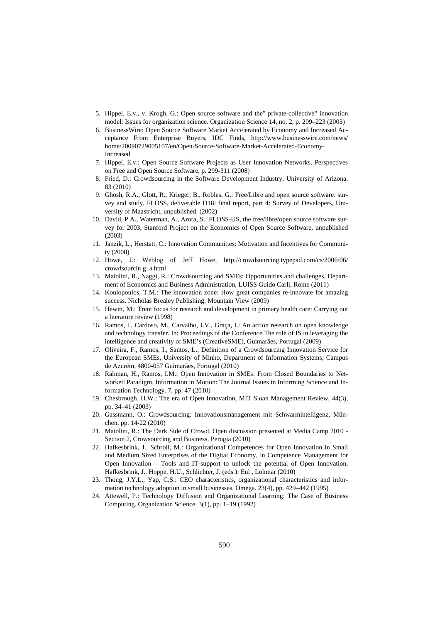- 5. Hippel, E.v., v. Krogh, G.: Open source software and the" private-collective" innovation model: Issues for organization science. Organization Science 14, no. 2, p. 209–223 (2003)
- 6. BusinessWire: Open Source Software Market Accelerated by Economy and Increased Acceptance From Enterprise Buyers, IDC Finds, http://www.businesswire.com/news/ home/20090729005107/en/Open-Source-Software-Market-Accelerated-Economy-Increased
- 7. Hippel, E.v.: Open Source Software Projects as User Innovation Networks. Perspectives on Free and Open Source Software, p. 299-311 (2008)
- 8. Fried, D.: Crowdsourcing in the Software Development Industry, University of Arizona. 83 (2010)
- 9. Ghosh, R.A., Glott, R., Krieger, B., Robles, G.: Free/Libre and open source software: survey and study, FLOSS, deliverable D18: final report, part 4: Survey of Developers, University of Maastricht, unpublished. (2002)
- 10. David, P.A., Waterman, A., Arora, S.: FLOSS-US, the free/libre/open source software survey for 2003, Stanford Project on the Economics of Open Source Software, unpublished (2003)
- 11. Janzik, L., Herstatt, C.: Innovation Communities: Motivation and Incentives for Community (2008)
- 12. Howe, J.: Weblog of Jeff Howe, http://crowdsourcing.typepad.com/cs/2006/06/ crowdsourcin g\_a.html
- 13. Maiolini, R., Naggi, R.: Crowdsourcing and SMEs: Opportunities and challenges, Department of Economics and Business Administration, LUISS Guido Carli, Rome (2011)
- 14. Koulopoulos, T.M.: The innovation zone: How great companies re-innovate for amazing success. Nicholas Brealey Publishing, Mountain View (2009)
- 15. Hewitt, M.: Trent focus for research and development in primary health care: Carrying out a literature review (1998)
- 16. Ramos, I., Cardoso, M., Carvalho, J.V., Graça, I.: An action research on open knowledge and technology transfer. In: Proceedings of the Conference The role of IS in leveraging the intelligence and creativity of SME's (CreativeSME), Guimarães, Portugal (2009)
- 17. Oliveira, F., Ramos, I., Santos, L.: Definition of a Crowdsourcing Innovation Service for the European SMEs, University of Minho, Department of Information Systems, Campus de Azurém, 4800-057 Guimarães, Portugal (2010)
- 18. Rahman, H., Ramos, I.M.: Open Innovation in SMEs: From Closed Boundaries to Networked Paradigm. Information in Motion: The Journal Issues in Informing Science and Information Technology. 7, pp. 47 (2010)
- 19. Chesbrough, H.W.: The era of Open Innovation, MIT Sloan Management Review, 44(3), pp. 34–41 (2003)
- 20. Gassmann, O.: Crowdsourcing: Innovationsmanagement mit Schwarmintelligenz, München, pp. 14-22 (2010)
- 21. Maiolini, R.: The Dark Side of Crowd. Open discussion presented at Media Camp 2010 Section 2, Crowsourcing and Business, Perugia (2010)
- 22. Hafkesbrink, J., Schroll, M.: Organizational Competences for Open Innovation in Small and Medium Sized Enterprises of the Digital Economy, in Competence Management for Open Innovation – Tools and IT-support to unlock the potential of Open Innovation, Hafkesbrink, J., Hoppe, H.U., Schlichter, J. (eds.): Eul , Lohmar (2010)
- 23. Thong, J.Y.L., Yap, C.S.: CEO characteristics, organizational characteristics and information technology adoption in small businesses. Omega. 23(4), pp. 429–442 (1995)
- 24. Attewell, P.: Technology Diffusion and Organizational Learning: The Case of Business Computing. Organization Science. 3(1), pp. 1–19 (1992)